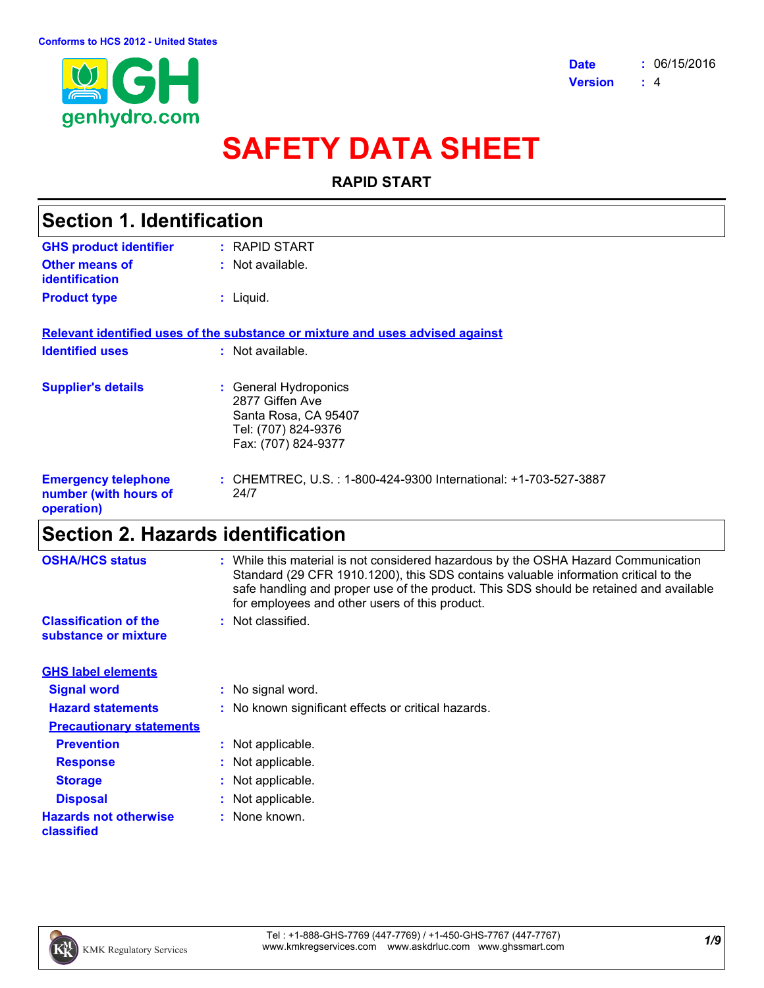

# **SAFETY DATA SHEET**

#### **RAPID START**

| <b>Section 1. Identification</b>                                  |                                                                                                                |  |
|-------------------------------------------------------------------|----------------------------------------------------------------------------------------------------------------|--|
| <b>GHS product identifier</b>                                     | : RAPID START                                                                                                  |  |
| Other means of<br>identification                                  | : Not available.                                                                                               |  |
| <b>Product type</b>                                               | : Liquid.                                                                                                      |  |
|                                                                   | Relevant identified uses of the substance or mixture and uses advised against                                  |  |
| <b>Identified uses</b>                                            | $:$ Not available.                                                                                             |  |
| <b>Supplier's details</b>                                         | : General Hydroponics<br>2877 Giffen Ave<br>Santa Rosa, CA 95407<br>Tel: (707) 824-9376<br>Fax: (707) 824-9377 |  |
| <b>Emergency telephone</b><br>number (with hours of<br>operation) | : CHEMTREC, U.S.: 1-800-424-9300 International: +1-703-527-3887<br>24/7                                        |  |

### **Section 2. Hazards identification**

| <b>OSHA/HCS status</b>                               | : While this material is not considered hazardous by the OSHA Hazard Communication<br>Standard (29 CFR 1910.1200), this SDS contains valuable information critical to the<br>safe handling and proper use of the product. This SDS should be retained and available<br>for employees and other users of this product. |
|------------------------------------------------------|-----------------------------------------------------------------------------------------------------------------------------------------------------------------------------------------------------------------------------------------------------------------------------------------------------------------------|
| <b>Classification of the</b><br>substance or mixture | : Not classified.                                                                                                                                                                                                                                                                                                     |
| <b>GHS label elements</b>                            |                                                                                                                                                                                                                                                                                                                       |
| <b>Signal word</b>                                   | : No signal word.                                                                                                                                                                                                                                                                                                     |
| <b>Hazard statements</b>                             | : No known significant effects or critical hazards.                                                                                                                                                                                                                                                                   |
| <b>Precautionary statements</b>                      |                                                                                                                                                                                                                                                                                                                       |
| <b>Prevention</b>                                    | : Not applicable.                                                                                                                                                                                                                                                                                                     |
| <b>Response</b>                                      | : Not applicable.                                                                                                                                                                                                                                                                                                     |
| <b>Storage</b>                                       | : Not applicable.                                                                                                                                                                                                                                                                                                     |
| <b>Disposal</b>                                      | : Not applicable.                                                                                                                                                                                                                                                                                                     |
| <b>Hazards not otherwise</b><br>classified           | : None known.                                                                                                                                                                                                                                                                                                         |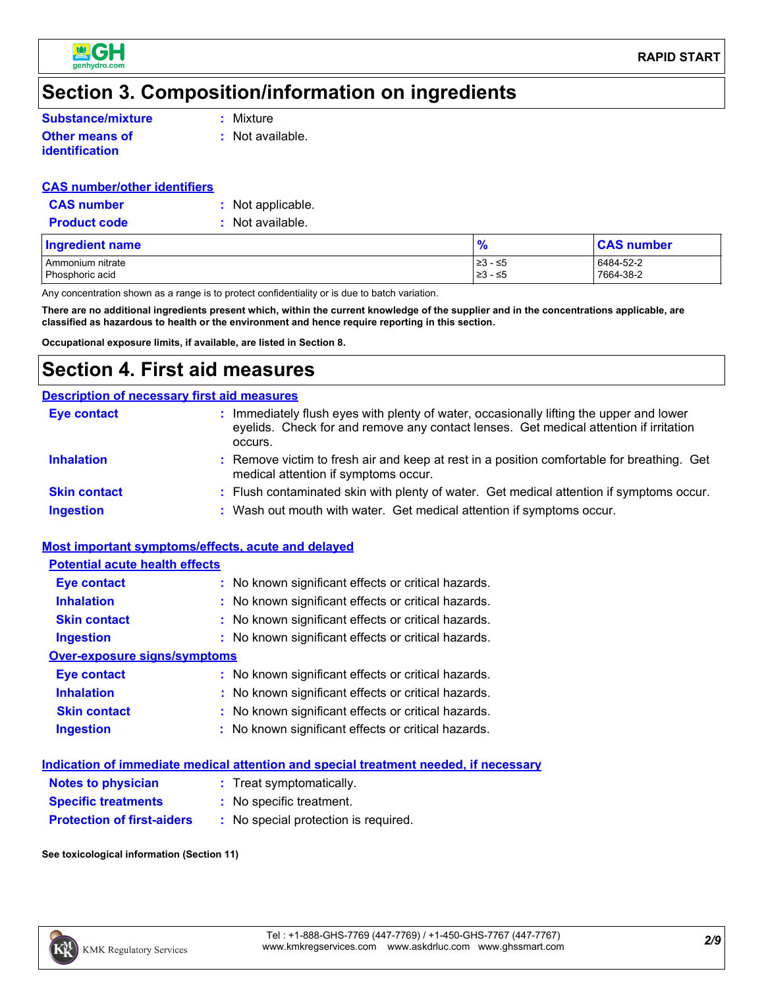

### **Section 3. Composition/information on ingredients**

**Other means of identification**

**:** Not available.

#### **CAS number/other identifiers**

| <b>CAS number</b>   | : Not applicable. |
|---------------------|-------------------|
| <b>Product code</b> | : Not available.  |

| Ingredient name  | $\frac{1}{2}$ | <b>CAS number</b> |
|------------------|---------------|-------------------|
| Ammonium nitrate | ≥3 - ≤5       | 6484-52-2         |
| Phosphoric acid  | ≥3 - ≤5       | 7664-38-2         |

Any concentration shown as a range is to protect confidentiality or is due to batch variation.

**There are no additional ingredients present which, within the current knowledge of the supplier and in the concentrations applicable, are classified as hazardous to health or the environment and hence require reporting in this section.**

**Occupational exposure limits, if available, are listed in Section 8.**

### **Section 4. First aid measures**

| <b>Description of necessary first aid measures</b> |                                                                                                                                                                                           |
|----------------------------------------------------|-------------------------------------------------------------------------------------------------------------------------------------------------------------------------------------------|
| <b>Eye contact</b>                                 | Immediately flush eyes with plenty of water, occasionally lifting the upper and lower<br>eyelids. Check for and remove any contact lenses. Get medical attention if irritation<br>occurs. |
| <b>Inhalation</b>                                  | : Remove victim to fresh air and keep at rest in a position comfortable for breathing. Get<br>medical attention if symptoms occur.                                                        |
| <b>Skin contact</b>                                | : Flush contaminated skin with plenty of water. Get medical attention if symptoms occur.                                                                                                  |
| <b>Ingestion</b>                                   | : Wash out mouth with water. Get medical attention if symptoms occur.                                                                                                                     |

#### **Most important symptoms/effects, acute and delayed**

| <b>Potential acute health effects</b> |                                                     |
|---------------------------------------|-----------------------------------------------------|
| <b>Eye contact</b>                    | : No known significant effects or critical hazards. |
| <b>Inhalation</b>                     | : No known significant effects or critical hazards. |
| <b>Skin contact</b>                   | : No known significant effects or critical hazards. |
| <b>Ingestion</b>                      | : No known significant effects or critical hazards. |
| Over-exposure signs/symptoms          |                                                     |
| Eye contact                           | : No known significant effects or critical hazards. |
| <b>Inhalation</b>                     | : No known significant effects or critical hazards. |
| <b>Skin contact</b>                   | : No known significant effects or critical hazards. |
| <b>Ingestion</b>                      | : No known significant effects or critical hazards. |
|                                       |                                                     |

|                                   | Indication of immediate medical attention and special treatment needed, if necessary |  |
|-----------------------------------|--------------------------------------------------------------------------------------|--|
| <b>Notes to physician</b>         | : Treat symptomatically.                                                             |  |
| <b>Specific treatments</b>        | : No specific treatment.                                                             |  |
| <b>Protection of first-aiders</b> | : No special protection is required.                                                 |  |

**See toxicological information (Section 11)**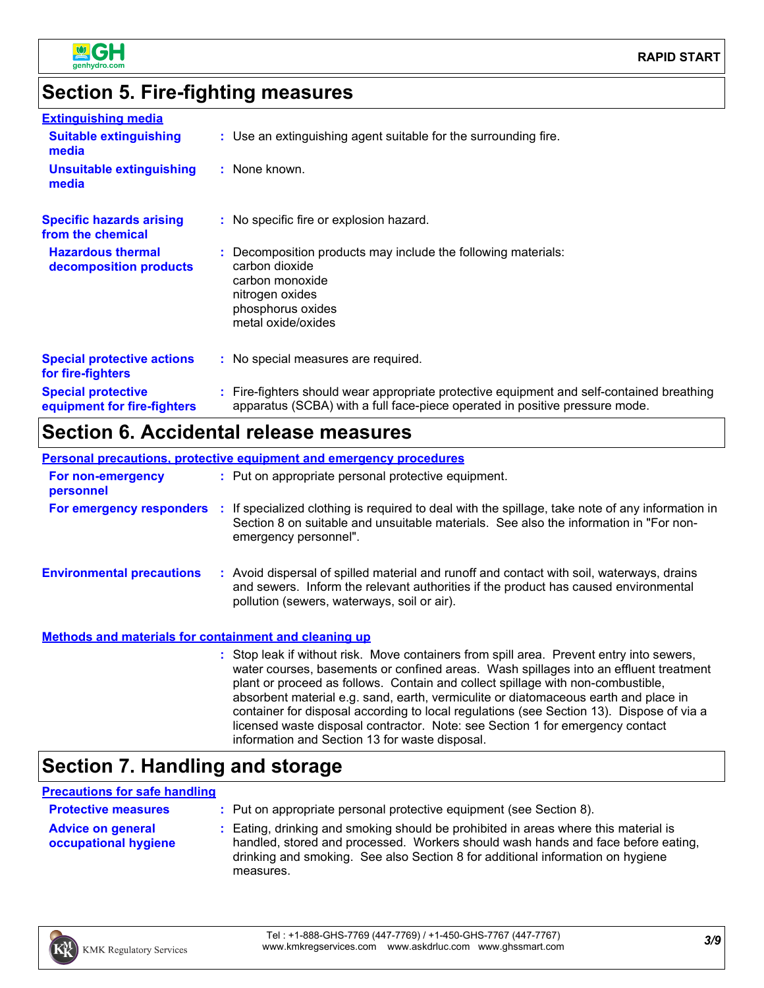

## **Section 5. Fire-fighting measures**

| <b>Extinguishing media</b>                               |                                                                                                                                                                          |
|----------------------------------------------------------|--------------------------------------------------------------------------------------------------------------------------------------------------------------------------|
| <b>Suitable extinguishing</b><br>media                   | : Use an extinguishing agent suitable for the surrounding fire.                                                                                                          |
| <b>Unsuitable extinguishing</b><br>media                 | : None known.                                                                                                                                                            |
| <b>Specific hazards arising</b><br>from the chemical     | : No specific fire or explosion hazard.                                                                                                                                  |
| <b>Hazardous thermal</b><br>decomposition products       | : Decomposition products may include the following materials:<br>carbon dioxide<br>carbon monoxide<br>nitrogen oxides<br>phosphorus oxides<br>metal oxide/oxides         |
| <b>Special protective actions</b><br>for fire-fighters   | : No special measures are required.                                                                                                                                      |
| <b>Special protective</b><br>equipment for fire-fighters | : Fire-fighters should wear appropriate protective equipment and self-contained breathing<br>apparatus (SCBA) with a full face-piece operated in positive pressure mode. |

### **Section 6. Accidental release measures**

**Personal precautions, protective equipment and emergency procedures**

| For non-emergency<br>personnel                        | : Put on appropriate personal protective equipment.                                                                                                                                                                                                                                                                                                                                                                                                                                                                                                                                        |
|-------------------------------------------------------|--------------------------------------------------------------------------------------------------------------------------------------------------------------------------------------------------------------------------------------------------------------------------------------------------------------------------------------------------------------------------------------------------------------------------------------------------------------------------------------------------------------------------------------------------------------------------------------------|
| For emergency responders :                            | If specialized clothing is required to deal with the spillage, take note of any information in<br>Section 8 on suitable and unsuitable materials. See also the information in "For non-<br>emergency personnel".                                                                                                                                                                                                                                                                                                                                                                           |
| <b>Environmental precautions</b>                      | : Avoid dispersal of spilled material and runoff and contact with soil, waterways, drains<br>and sewers. Inform the relevant authorities if the product has caused environmental<br>pollution (sewers, waterways, soil or air).                                                                                                                                                                                                                                                                                                                                                            |
| Methods and materials for containment and cleaning up |                                                                                                                                                                                                                                                                                                                                                                                                                                                                                                                                                                                            |
|                                                       | : Stop leak if without risk. Move containers from spill area. Prevent entry into sewers,<br>water courses, basements or confined areas. Wash spillages into an effluent treatment<br>plant or proceed as follows. Contain and collect spillage with non-combustible,<br>absorbent material e.g. sand, earth, vermiculite or diatomaceous earth and place in<br>container for disposal according to local regulations (see Section 13). Dispose of via a<br>licensed waste disposal contractor. Note: see Section 1 for emergency contact<br>information and Section 13 for waste disposal. |

### **Section 7. Handling and storage**

#### **Precautions for safe handling**

| <b>Protective measures</b>                       | : Put on appropriate personal protective equipment (see Section 8).                                                                                                                                                                                                    |
|--------------------------------------------------|------------------------------------------------------------------------------------------------------------------------------------------------------------------------------------------------------------------------------------------------------------------------|
| <b>Advice on general</b><br>occupational hygiene | : Eating, drinking and smoking should be prohibited in areas where this material is<br>handled, stored and processed. Workers should wash hands and face before eating,<br>drinking and smoking. See also Section 8 for additional information on hygiene<br>measures. |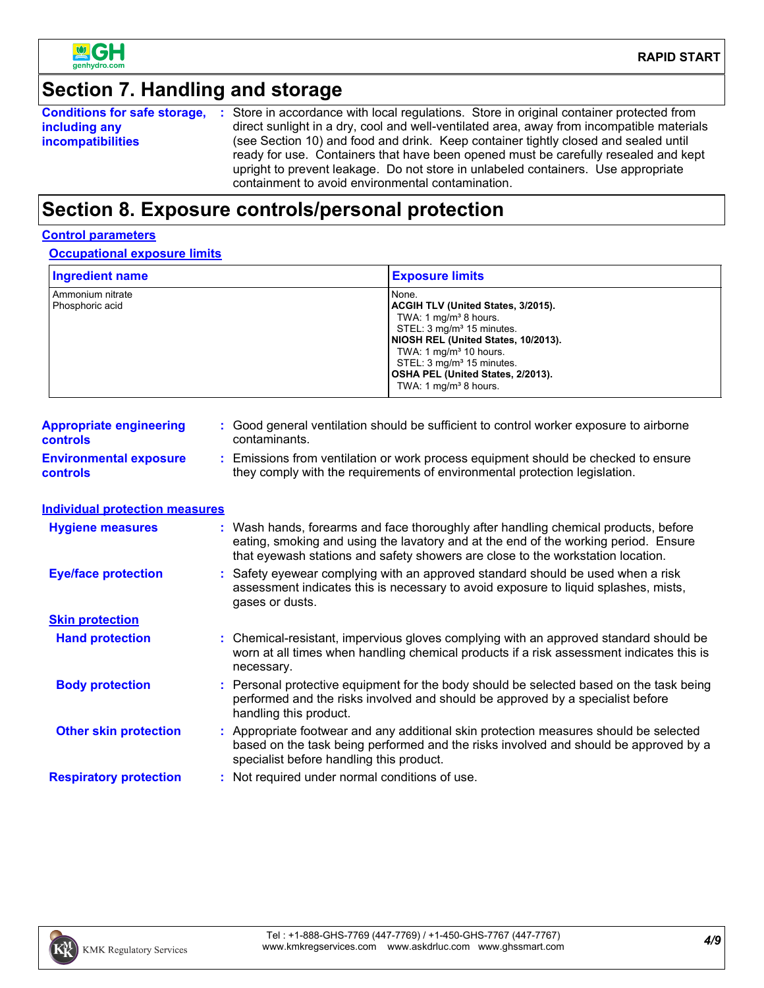

## **Section 7. Handling and storage**

|                          | <b>Conditions for safe storage, :</b> Store in accordance with local regulations. Store in original container protected from                                                                                                                                                                                         |
|--------------------------|----------------------------------------------------------------------------------------------------------------------------------------------------------------------------------------------------------------------------------------------------------------------------------------------------------------------|
| including any            | direct sunlight in a dry, cool and well-ventilated area, away from incompatible materials                                                                                                                                                                                                                            |
| <b>incompatibilities</b> | (see Section 10) and food and drink. Keep container tightly closed and sealed until<br>ready for use. Containers that have been opened must be carefully resealed and kept<br>upright to prevent leakage. Do not store in unlabeled containers. Use appropriate<br>containment to avoid environmental contamination. |

## **Section 8. Exposure controls/personal protection**

#### **Control parameters**

**Occupational exposure limits**

| <b>Ingredient name</b>                           |                                                                                                                                                                                                                                                               | <b>Exposure limits</b>                                                                                                                                                                                                                                                                                          |
|--------------------------------------------------|---------------------------------------------------------------------------------------------------------------------------------------------------------------------------------------------------------------------------------------------------------------|-----------------------------------------------------------------------------------------------------------------------------------------------------------------------------------------------------------------------------------------------------------------------------------------------------------------|
| Ammonium nitrate<br>Phosphoric acid              |                                                                                                                                                                                                                                                               | None.<br>ACGIH TLV (United States, 3/2015).<br>TWA: 1 mg/m <sup>3</sup> 8 hours.<br>STEL: 3 mg/m <sup>3</sup> 15 minutes.<br>NIOSH REL (United States, 10/2013).<br>TWA: 1 $mg/m3$ 10 hours.<br>STEL: 3 mg/m <sup>3</sup> 15 minutes.<br>OSHA PEL (United States, 2/2013).<br>TWA: 1 mg/m <sup>3</sup> 8 hours. |
| <b>Appropriate engineering</b><br>controls       | contaminants.                                                                                                                                                                                                                                                 | : Good general ventilation should be sufficient to control worker exposure to airborne                                                                                                                                                                                                                          |
| <b>Environmental exposure</b><br><b>controls</b> |                                                                                                                                                                                                                                                               | : Emissions from ventilation or work process equipment should be checked to ensure<br>they comply with the requirements of environmental protection legislation.                                                                                                                                                |
| <b>Individual protection measures</b>            |                                                                                                                                                                                                                                                               |                                                                                                                                                                                                                                                                                                                 |
| <b>Hygiene measures</b>                          | : Wash hands, forearms and face thoroughly after handling chemical products, before<br>eating, smoking and using the lavatory and at the end of the working period. Ensure<br>that eyewash stations and safety showers are close to the workstation location. |                                                                                                                                                                                                                                                                                                                 |
| <b>Eye/face protection</b>                       | : Safety eyewear complying with an approved standard should be used when a risk<br>assessment indicates this is necessary to avoid exposure to liquid splashes, mists,<br>gases or dusts.                                                                     |                                                                                                                                                                                                                                                                                                                 |
| <b>Skin protection</b>                           |                                                                                                                                                                                                                                                               |                                                                                                                                                                                                                                                                                                                 |
| <b>Hand protection</b>                           | : Chemical-resistant, impervious gloves complying with an approved standard should be<br>worn at all times when handling chemical products if a risk assessment indicates this is<br>necessary.                                                               |                                                                                                                                                                                                                                                                                                                 |
| <b>Body protection</b>                           | : Personal protective equipment for the body should be selected based on the task being<br>performed and the risks involved and should be approved by a specialist before<br>handling this product.                                                           |                                                                                                                                                                                                                                                                                                                 |
| <b>Other skin protection</b>                     | specialist before handling this product.                                                                                                                                                                                                                      | : Appropriate footwear and any additional skin protection measures should be selected<br>based on the task being performed and the risks involved and should be approved by a                                                                                                                                   |
| <b>Respiratory protection</b>                    | : Not required under normal conditions of use.                                                                                                                                                                                                                |                                                                                                                                                                                                                                                                                                                 |

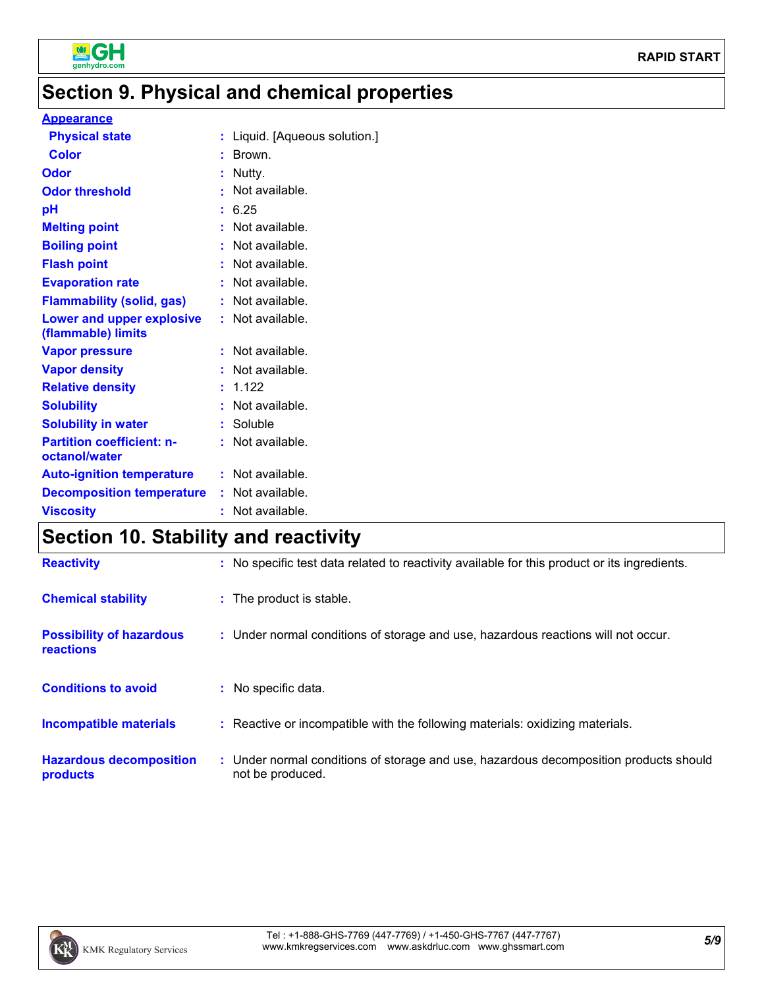

## **Section 9. Physical and chemical properties**

#### **Appearance**

| <b>Physical state</b>                                  |    | : Liquid. [Aqueous solution.] |
|--------------------------------------------------------|----|-------------------------------|
| <b>Color</b>                                           |    | : Brown.                      |
| Odor                                                   |    | : Nutty.                      |
| <b>Odor threshold</b>                                  |    | Not available.                |
| pH                                                     |    | : 6.25                        |
| <b>Melting point</b>                                   |    | : Not available.              |
| <b>Boiling point</b>                                   |    | : Not available.              |
| <b>Flash point</b>                                     |    | : Not available.              |
| <b>Evaporation rate</b>                                | t. | Not available.                |
| <b>Flammability (solid, gas)</b>                       |    | : Not available.              |
| <b>Lower and upper explosive</b><br>(flammable) limits |    | : Not available.              |
| <b>Vapor pressure</b>                                  |    | : Not available.              |
| <b>Vapor density</b>                                   |    | : Not available.              |
| <b>Relative density</b>                                |    | : 1.122                       |
| <b>Solubility</b>                                      |    | Not available.                |
| <b>Solubility in water</b>                             |    | : Soluble                     |
| <b>Partition coefficient: n-</b><br>octanol/water      |    | : Not available.              |
| <b>Auto-ignition temperature</b>                       |    | : Not available.              |
| <b>Decomposition temperature</b>                       |    | : Not available.              |
| <b>Viscosity</b>                                       |    | : Not available.              |

## **Section 10. Stability and reactivity**

| <b>Reactivity</b>                            | : No specific test data related to reactivity available for this product or its ingredients.              |
|----------------------------------------------|-----------------------------------------------------------------------------------------------------------|
| <b>Chemical stability</b>                    | : The product is stable.                                                                                  |
| <b>Possibility of hazardous</b><br>reactions | : Under normal conditions of storage and use, hazardous reactions will not occur.                         |
| <b>Conditions to avoid</b>                   | : No specific data.                                                                                       |
| <b>Incompatible materials</b>                | : Reactive or incompatible with the following materials: oxidizing materials.                             |
| <b>Hazardous decomposition</b><br>products   | : Under normal conditions of storage and use, hazardous decomposition products should<br>not be produced. |

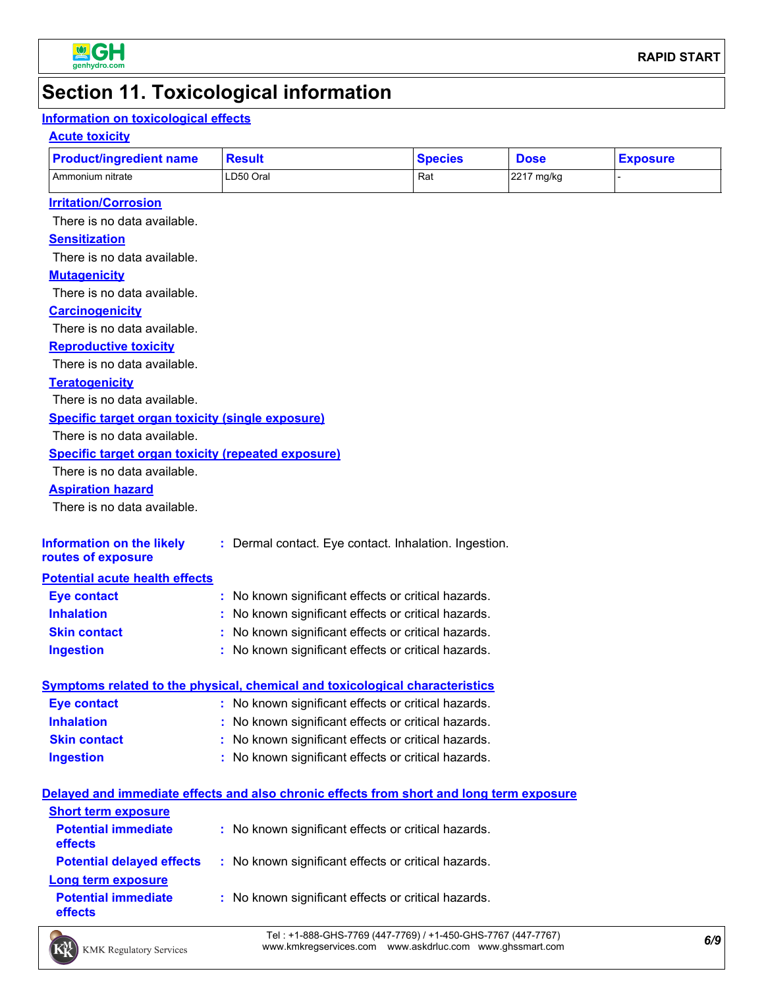

## **Section 11. Toxicological information**

#### **Information on toxicological effects**

#### **Acute toxicity**

| <b>Product/ingredient name</b>                                                           | <b>Result</b>                                         | <b>Species</b> | <b>Dose</b> | <b>Exposure</b> |
|------------------------------------------------------------------------------------------|-------------------------------------------------------|----------------|-------------|-----------------|
| Ammonium nitrate                                                                         | LD50 Oral                                             | Rat            | 2217 mg/kg  |                 |
| <b>Irritation/Corrosion</b>                                                              |                                                       |                |             |                 |
| There is no data available.                                                              |                                                       |                |             |                 |
| <b>Sensitization</b>                                                                     |                                                       |                |             |                 |
| There is no data available.                                                              |                                                       |                |             |                 |
| <b>Mutagenicity</b>                                                                      |                                                       |                |             |                 |
| There is no data available.                                                              |                                                       |                |             |                 |
| <b>Carcinogenicity</b>                                                                   |                                                       |                |             |                 |
| There is no data available.                                                              |                                                       |                |             |                 |
| <b>Reproductive toxicity</b>                                                             |                                                       |                |             |                 |
| There is no data available.                                                              |                                                       |                |             |                 |
| <b>Teratogenicity</b>                                                                    |                                                       |                |             |                 |
| There is no data available.                                                              |                                                       |                |             |                 |
| Specific target organ toxicity (single exposure)                                         |                                                       |                |             |                 |
| There is no data available.                                                              |                                                       |                |             |                 |
| <b>Specific target organ toxicity (repeated exposure)</b>                                |                                                       |                |             |                 |
| There is no data available.                                                              |                                                       |                |             |                 |
| <b>Aspiration hazard</b>                                                                 |                                                       |                |             |                 |
| There is no data available.                                                              |                                                       |                |             |                 |
| <b>Information on the likely</b><br>routes of exposure                                   | : Dermal contact. Eye contact. Inhalation. Ingestion. |                |             |                 |
| <b>Potential acute health effects</b>                                                    |                                                       |                |             |                 |
| <b>Eye contact</b>                                                                       | : No known significant effects or critical hazards.   |                |             |                 |
| <b>Inhalation</b>                                                                        | : No known significant effects or critical hazards.   |                |             |                 |
| <b>Skin contact</b>                                                                      | : No known significant effects or critical hazards.   |                |             |                 |
| <b>Ingestion</b>                                                                         | : No known significant effects or critical hazards.   |                |             |                 |
| <b>Symptoms related to the physical, chemical and toxicological characteristics</b>      |                                                       |                |             |                 |
| <b>Eye contact</b>                                                                       | : No known significant effects or critical hazards.   |                |             |                 |
| <b>Inhalation</b>                                                                        | : No known significant effects or critical hazards.   |                |             |                 |
| <b>Skin contact</b>                                                                      | : No known significant effects or critical hazards.   |                |             |                 |
| <b>Ingestion</b>                                                                         | : No known significant effects or critical hazards.   |                |             |                 |
|                                                                                          |                                                       |                |             |                 |
| Delayed and immediate effects and also chronic effects from short and long term exposure |                                                       |                |             |                 |
| <b>Short term exposure</b>                                                               |                                                       |                |             |                 |
| <b>Potential immediate</b><br>effects                                                    | : No known significant effects or critical hazards.   |                |             |                 |
| <b>Potential delayed effects</b>                                                         | : No known significant effects or critical hazards.   |                |             |                 |
| Long term exposure                                                                       |                                                       |                |             |                 |
| <b>Potential immediate</b><br>effects                                                    | : No known significant effects or critical hazards.   |                |             |                 |

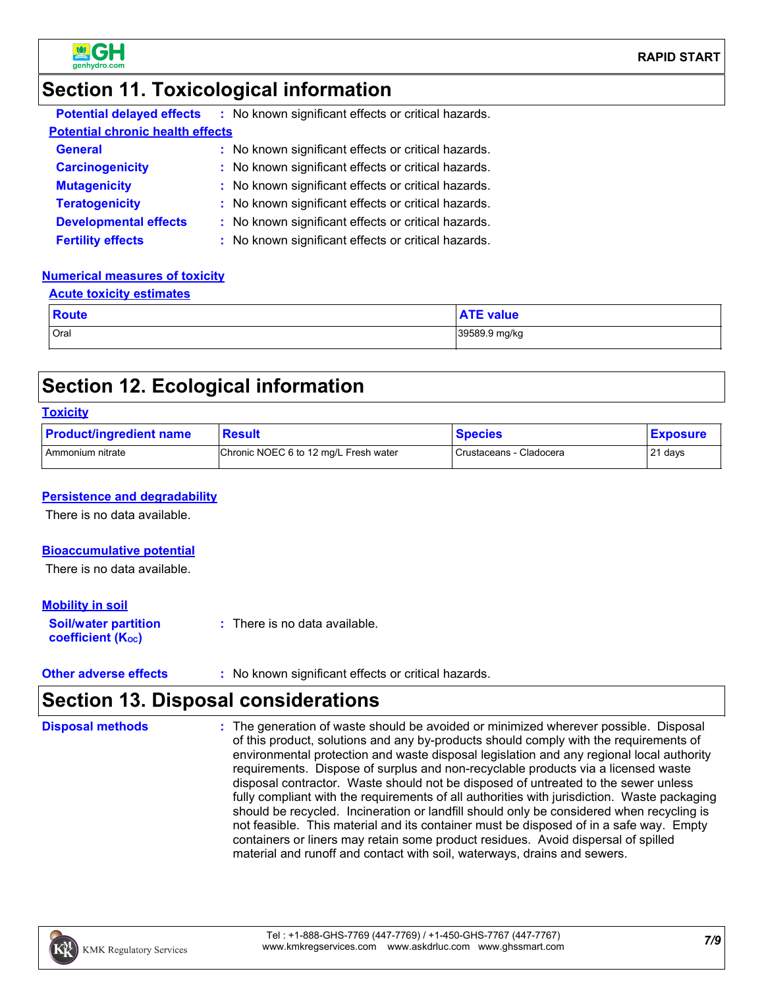

### **Section 11. Toxicological information**

| <b>Potential delayed effects</b>        | : No known significant effects or critical hazards. |  |
|-----------------------------------------|-----------------------------------------------------|--|
| <b>Potential chronic health effects</b> |                                                     |  |
| <b>General</b>                          | : No known significant effects or critical hazards. |  |
| <b>Carcinogenicity</b>                  | : No known significant effects or critical hazards. |  |
| <b>Mutagenicity</b>                     | : No known significant effects or critical hazards. |  |
| <b>Teratogenicity</b>                   | : No known significant effects or critical hazards. |  |
| <b>Developmental effects</b>            | : No known significant effects or critical hazards. |  |
| <b>Fertility effects</b>                | : No known significant effects or critical hazards. |  |

#### **Numerical measures of toxicity**

| <b>Acute toxicity estimates</b> |
|---------------------------------|
|---------------------------------|

| <b>Route</b> | $\mathbf{A}$<br><b>ATE value</b> |
|--------------|----------------------------------|
| Oral         | 39589.9 mg/kg                    |

### **Section 12. Ecological information**

| <b>Toxicity</b> |  |
|-----------------|--|
|-----------------|--|

| <b>Product/ingredient name</b> | <b>Result</b>                         | <b>Species</b>          | <b>Exposure</b> |
|--------------------------------|---------------------------------------|-------------------------|-----------------|
| I Ammonium nitrate             | Chronic NOEC 6 to 12 mg/L Fresh water | Crustaceans - Cladocera | 21 days         |

#### **Persistence and degradability**

There is no data available.

#### **Bioaccumulative potential**

There is no data available.

#### **Mobility in soil**

| <b>Soil/water partition</b> | : There is no data available. |
|-----------------------------|-------------------------------|
| <b>coefficient (Koc)</b>    |                               |

**Other adverse effects** : No known significant effects or critical hazards.

### **Section 13. Disposal considerations**

The generation of waste should be avoided or minimized wherever possible. Disposal of this product, solutions and any by-products should comply with the requirements of environmental protection and waste disposal legislation and any regional local authority requirements. Dispose of surplus and non-recyclable products via a licensed waste disposal contractor. Waste should not be disposed of untreated to the sewer unless fully compliant with the requirements of all authorities with jurisdiction. Waste packaging should be recycled. Incineration or landfill should only be considered when recycling is not feasible. This material and its container must be disposed of in a safe way. Empty containers or liners may retain some product residues. Avoid dispersal of spilled material and runoff and contact with soil, waterways, drains and sewers. **Disposal methods :**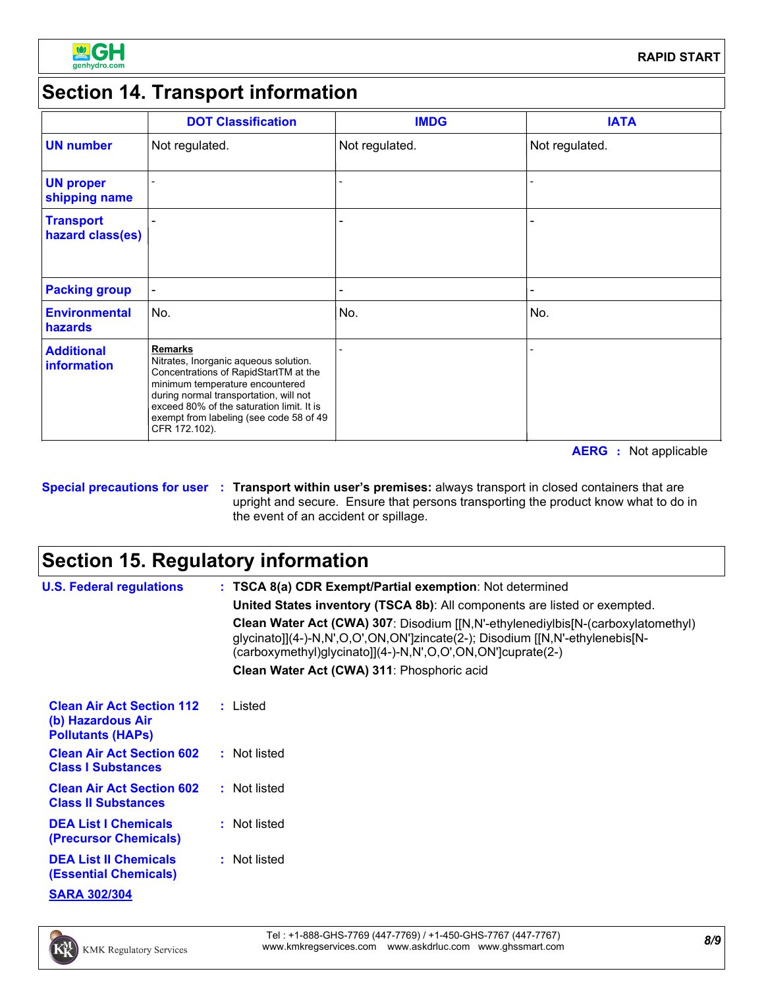

## **Section 14. Transport information**

|                                         | <b>DOT Classification</b>                                                                                                                                                                                                                                                              | <b>IMDG</b>    | <b>IATA</b>    |
|-----------------------------------------|----------------------------------------------------------------------------------------------------------------------------------------------------------------------------------------------------------------------------------------------------------------------------------------|----------------|----------------|
| <b>UN number</b>                        | Not regulated.                                                                                                                                                                                                                                                                         | Not regulated. | Not regulated. |
| <b>UN proper</b><br>shipping name       |                                                                                                                                                                                                                                                                                        |                |                |
| <b>Transport</b><br>hazard class(es)    |                                                                                                                                                                                                                                                                                        |                |                |
| <b>Packing group</b>                    |                                                                                                                                                                                                                                                                                        |                |                |
| <b>Environmental</b><br>hazards         | No.                                                                                                                                                                                                                                                                                    | No.            | No.            |
| <b>Additional</b><br><b>information</b> | <b>Remarks</b><br>Nitrates, Inorganic aqueous solution.<br>Concentrations of RapidStartTM at the<br>minimum temperature encountered<br>during normal transportation, will not<br>exceed 80% of the saturation limit. It is<br>exempt from labeling (see code 58 of 49<br>CFR 172.102). |                |                |

**AERG :** Not applicable

#### **Special precautions for user Transport within user's premises:** always transport in closed containers that are **:** upright and secure. Ensure that persons transporting the product know what to do in the event of an accident or spillage.

## **Section 15. Regulatory information**

| <b>U.S. Federal regulations</b>                                                   | : TSCA 8(a) CDR Exempt/Partial exemption: Not determined                                                                                                                                                                        |
|-----------------------------------------------------------------------------------|---------------------------------------------------------------------------------------------------------------------------------------------------------------------------------------------------------------------------------|
|                                                                                   | United States inventory (TSCA 8b): All components are listed or exempted.                                                                                                                                                       |
|                                                                                   | Clean Water Act (CWA) 307: Disodium [[N,N'-ethylenediylbis[N-(carboxylatomethyl)<br>glycinato]](4-)-N,N',O,O',ON,ON']zincate(2-); Disodium [[N,N'-ethylenebis[N-<br>(carboxymethyl)glycinato]](4-)-N,N',O,O',ON,ON']cuprate(2-) |
|                                                                                   | Clean Water Act (CWA) 311: Phosphoric acid                                                                                                                                                                                      |
| <b>Clean Air Act Section 112</b><br>(b) Hazardous Air<br><b>Pollutants (HAPS)</b> | : Listed                                                                                                                                                                                                                        |
| <b>Clean Air Act Section 602</b><br><b>Class I Substances</b>                     | : Not listed                                                                                                                                                                                                                    |
| <b>Clean Air Act Section 602</b><br><b>Class II Substances</b>                    | : Not listed                                                                                                                                                                                                                    |
| <b>DEA List I Chemicals</b><br>(Precursor Chemicals)                              | : Not listed                                                                                                                                                                                                                    |
| <b>DEA List II Chemicals</b><br><b>(Essential Chemicals)</b>                      | : Not listed                                                                                                                                                                                                                    |
| <b>SARA 302/304</b>                                                               |                                                                                                                                                                                                                                 |